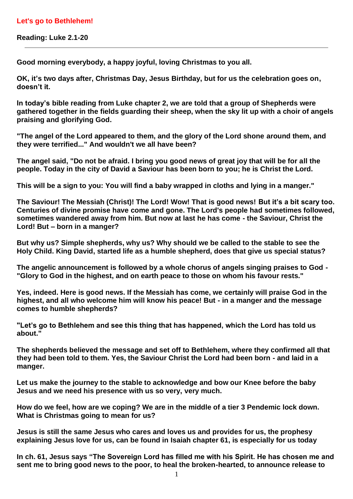## **Let's go to Bethlehem!**

**Reading: Luke 2.1-20**

**Good morning everybody, a happy joyful, loving Christmas to you all.** 

**OK, it's two days after, Christmas Day, Jesus Birthday, but for us the celebration goes on, doesn't it.** 

**In today's bible reading from Luke chapter 2, we are told that a group of Shepherds were gathered together in the fields guarding their sheep, when the sky lit up with a choir of angels praising and glorifying God.** 

**"The angel of the Lord appeared to them, and the glory of the Lord shone around them, and they were terrified..." And wouldn't we all have been?**

**The angel said, "Do not be afraid. I bring you good news of great joy that will be for all the people. Today in the city of David a Saviour has been born to you; he is Christ the Lord.**

**This will be a sign to you: You will find a baby wrapped in cloths and lying in a manger."**

**The Saviour! The Messiah (Christ)! The Lord! Wow! That is good news! But it's a bit scary too. Centuries of divine promise have come and gone. The Lord's people had sometimes followed, sometimes wandered away from him. But now at last he has come - the Saviour, Christ the Lord! But – born in a manger?**

**But why us? Simple shepherds, why us? Why should we be called to the stable to see the Holy Child. King David, started life as a humble shepherd, does that give us special status?**

**The angelic announcement is followed by a whole chorus of angels singing praises to God - "Glory to God in the highest, and on earth peace to those on whom his favour rests."**

**Yes, indeed. Here is good news. If the Messiah has come, we certainly will praise God in the highest, and all who welcome him will know his peace! But - in a manger and the message comes to humble shepherds?**

**"Let's go to Bethlehem and see this thing that has happened, which the Lord has told us about."**

**The shepherds believed the message and set off to Bethlehem, where they confirmed all that they had been told to them. Yes, the Saviour Christ the Lord had been born - and laid in a manger.**

**Let us make the journey to the stable to acknowledge and bow our Knee before the baby Jesus and we need his presence with us so very, very much.** 

**How do we feel, how are we coping? We are in the middle of a tier 3 Pendemic lock down. What is Christmas going to mean for us?**

**Jesus is still the same Jesus who cares and loves us and provides for us, the prophesy explaining Jesus love for us, can be found in Isaiah chapter 61, is especially for us today**

**In ch. 61, Jesus says "The Sovereign Lord has filled me with his Spirit. He has chosen me and sent me to bring good news to the poor, to heal the broken-hearted, to announce release to**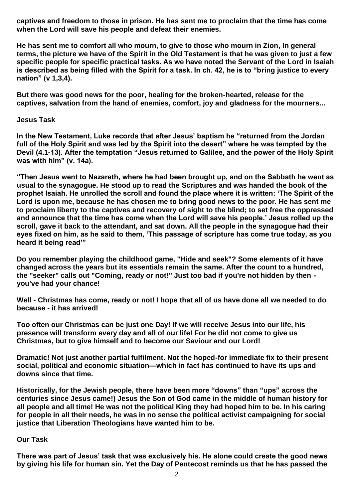**captives and freedom to those in prison. He has sent me to proclaim that the time has come when the Lord will save his people and defeat their enemies.** 

**He has sent me to comfort all who mourn, to give to those who mourn in Zion, In general terms, the picture we have of the Spirit in the Old Testament is that he was given to just a few specific people for specific practical tasks. As we have noted the Servant of the Lord in Isaiah is described as being filled with the Spirit for a task. In ch. 42, he is to "bring justice to every nation" (v 1,3,4).**

**But there was good news for the poor, healing for the broken-hearted, release for the captives, salvation from the hand of enemies, comfort, joy and gladness for the mourners...**

**Jesus Task**

**In the New Testament, Luke records that after Jesus' baptism he "returned from the Jordan full of the Holy Spirit and was led by the Spirit into the desert" where he was tempted by the Devil (4.1-13). After the temptation "Jesus returned to Galilee, and the power of the Holy Spirit was with him" (v. 14a).**

**"Then Jesus went to Nazareth, where he had been brought up, and on the Sabbath he went as usual to the synagogue. He stood up to read the Scriptures and was handed the book of the prophet Isaiah. He unrolled the scroll and found the place where it is written: 'The Spirit of the Lord is upon me, because he has chosen me to bring good news to the poor. He has sent me to proclaim liberty to the captives and recovery of sight to the blind; to set free the oppressed and announce that the time has come when the Lord will save his people.' Jesus rolled up the scroll, gave it back to the attendant, and sat down. All the people in the synagogue had their eyes fixed on him, as he said to them, 'This passage of scripture has come true today, as you heard it being read'"**

**Do you remember playing the childhood game, "Hide and seek"? Some elements of it have changed across the years but its essentials remain the same. After the count to a hundred, the "seeker" calls out "Coming, ready or not!" Just too bad if you're not hidden by then you've had your chance!**

**Well - Christmas has come, ready or not! I hope that all of us have done all we needed to do because - it has arrived!** 

**Too often our Christmas can be just one Day! If we will receive Jesus into our life, his presence will transform every day and all of our life! For he did not come to give us Christmas, but to give himself and to become our Saviour and our Lord!**

**Dramatic! Not just another partial fulfilment. Not the hoped-for immediate fix to their present social, political and economic situation—which in fact has continued to have its ups and downs since that time.** 

**Historically, for the Jewish people, there have been more "downs" than "ups" across the centuries since Jesus came!) Jesus the Son of God came in the middle of human history for all people and all time! He was not the political King they had hoped him to be. In his caring for people in all their needs, he was in no sense the political activist campaigning for social justice that Liberation Theologians have wanted him to be.**

## **Our Task**

**There was part of Jesus' task that was exclusively his. He alone could create the good news by giving his life for human sin. Yet the Day of Pentecost reminds us that he has passed the**